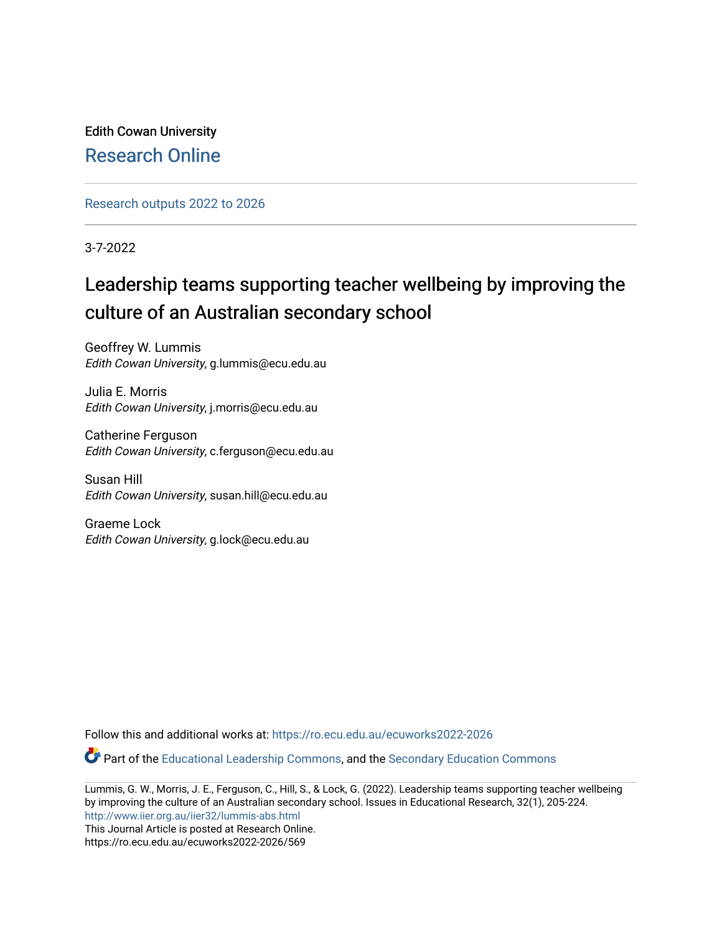Edith Cowan University [Research Online](https://ro.ecu.edu.au/) 

[Research outputs 2022 to 2026](https://ro.ecu.edu.au/ecuworks2022-2026) 

3-7-2022

# Leadership teams supporting teacher wellbeing by improving the culture of an Australian secondary school

Geoffrey W. Lummis Edith Cowan University, g.lummis@ecu.edu.au

Julia E. Morris Edith Cowan University, j.morris@ecu.edu.au

Catherine Ferguson Edith Cowan University, c.ferguson@ecu.edu.au

Susan Hill Edith Cowan University, susan.hill@ecu.edu.au

Graeme Lock Edith Cowan University, g.lock@ecu.edu.au

Follow this and additional works at: [https://ro.ecu.edu.au/ecuworks2022-2026](https://ro.ecu.edu.au/ecuworks2022-2026?utm_source=ro.ecu.edu.au%2Fecuworks2022-2026%2F569&utm_medium=PDF&utm_campaign=PDFCoverPages)

Part of the [Educational Leadership Commons,](https://network.bepress.com/hgg/discipline/1230?utm_source=ro.ecu.edu.au%2Fecuworks2022-2026%2F569&utm_medium=PDF&utm_campaign=PDFCoverPages) and the [Secondary Education Commons](https://network.bepress.com/hgg/discipline/1382?utm_source=ro.ecu.edu.au%2Fecuworks2022-2026%2F569&utm_medium=PDF&utm_campaign=PDFCoverPages) 

Lummis, G. W., Morris, J. E., Ferguson, C., Hill, S., & Lock, G. (2022). Leadership teams supporting teacher wellbeing by improving the culture of an Australian secondary school. Issues in Educational Research, 32(1), 205-224. <http://www.iier.org.au/iier32/lummis-abs.html>

This Journal Article is posted at Research Online. https://ro.ecu.edu.au/ecuworks2022-2026/569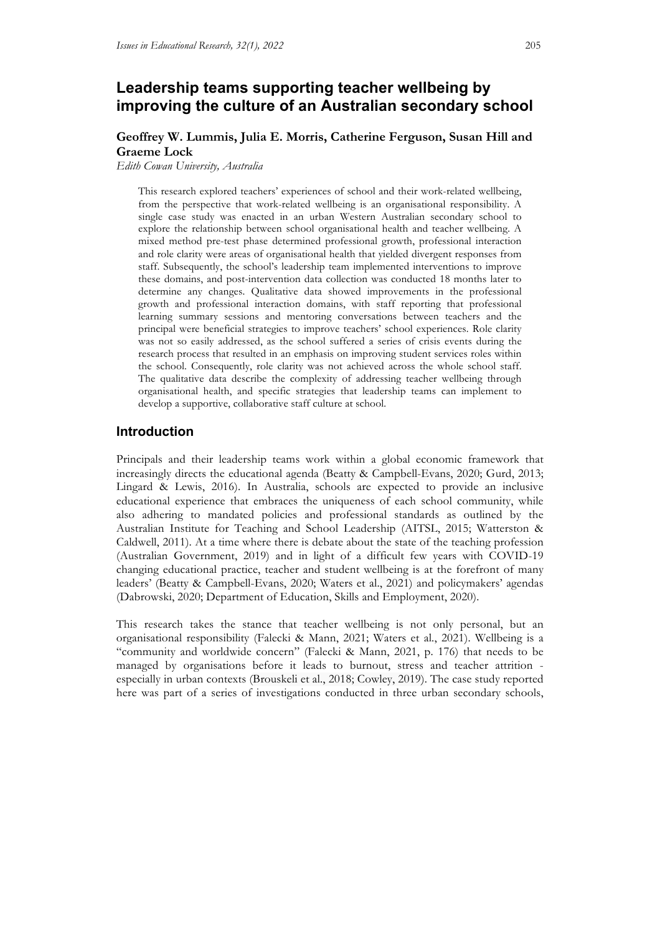# **Leadership teams supporting teacher wellbeing by improving the culture of an Australian secondary school**

# **Geoffrey W. Lummis, Julia E. Morris, Catherine Ferguson, Susan Hill and Graeme Lock**

*Edith Cowan University, Australia*

This research explored teachers' experiences of school and their work-related wellbeing, from the perspective that work-related wellbeing is an organisational responsibility. A single case study was enacted in an urban Western Australian secondary school to explore the relationship between school organisational health and teacher wellbeing. A mixed method pre-test phase determined professional growth, professional interaction and role clarity were areas of organisational health that yielded divergent responses from staff. Subsequently, the school's leadership team implemented interventions to improve these domains, and post-intervention data collection was conducted 18 months later to determine any changes. Qualitative data showed improvements in the professional growth and professional interaction domains, with staff reporting that professional learning summary sessions and mentoring conversations between teachers and the principal were beneficial strategies to improve teachers' school experiences. Role clarity was not so easily addressed, as the school suffered a series of crisis events during the research process that resulted in an emphasis on improving student services roles within the school. Consequently, role clarity was not achieved across the whole school staff. The qualitative data describe the complexity of addressing teacher wellbeing through organisational health, and specific strategies that leadership teams can implement to develop a supportive, collaborative staff culture at school.

## **Introduction**

Principals and their leadership teams work within a global economic framework that increasingly directs the educational agenda (Beatty & Campbell-Evans, 2020; Gurd, 2013; Lingard & Lewis, 2016). In Australia, schools are expected to provide an inclusive educational experience that embraces the uniqueness of each school community, while also adhering to mandated policies and professional standards as outlined by the Australian Institute for Teaching and School Leadership (AITSL, 2015; Watterston & Caldwell, 2011). At a time where there is debate about the state of the teaching profession (Australian Government, 2019) and in light of a difficult few years with COVID-19 changing educational practice, teacher and student wellbeing is at the forefront of many leaders' (Beatty & Campbell-Evans, 2020; Waters et al., 2021) and policymakers' agendas (Dabrowski, 2020; Department of Education, Skills and Employment, 2020).

This research takes the stance that teacher wellbeing is not only personal, but an organisational responsibility (Falecki & Mann, 2021; Waters et al., 2021). Wellbeing is a "community and worldwide concern" (Falecki & Mann, 2021, p. 176) that needs to be managed by organisations before it leads to burnout, stress and teacher attrition especially in urban contexts (Brouskeli et al., 2018; Cowley, 2019). The case study reported here was part of a series of investigations conducted in three urban secondary schools,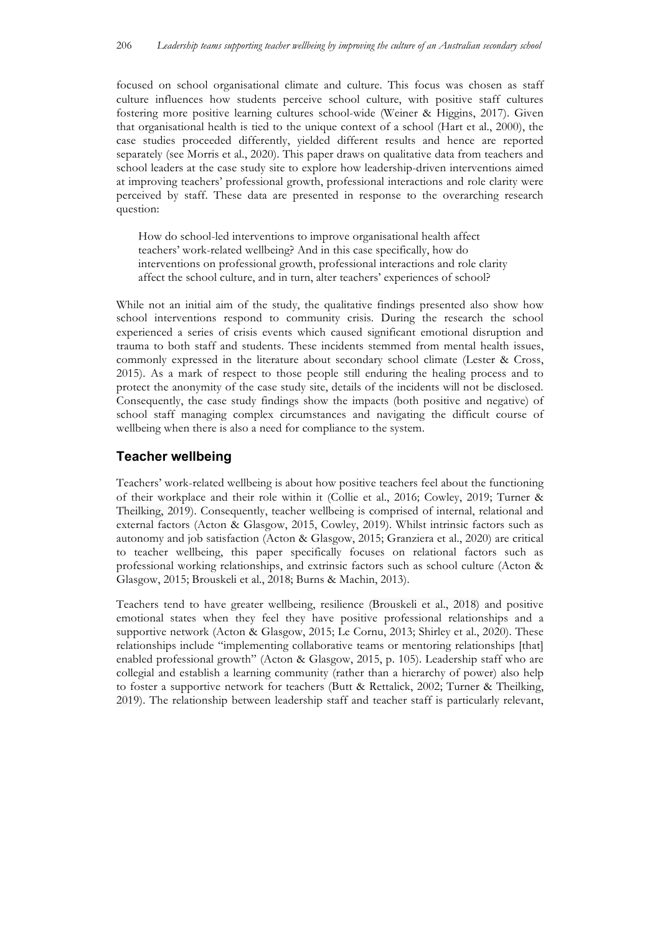focused on school organisational climate and culture. This focus was chosen as staff culture influences how students perceive school culture, with positive staff cultures fostering more positive learning cultures school-wide (Weiner & Higgins, 2017). Given that organisational health is tied to the unique context of a school (Hart et al., 2000), the case studies proceeded differently, yielded different results and hence are reported separately (see Morris et al., 2020). This paper draws on qualitative data from teachers and school leaders at the case study site to explore how leadership-driven interventions aimed at improving teachers' professional growth, professional interactions and role clarity were perceived by staff. These data are presented in response to the overarching research question:

How do school-led interventions to improve organisational health affect teachers' work-related wellbeing? And in this case specifically, how do interventions on professional growth, professional interactions and role clarity affect the school culture, and in turn, alter teachers' experiences of school?

While not an initial aim of the study, the qualitative findings presented also show how school interventions respond to community crisis. During the research the school experienced a series of crisis events which caused significant emotional disruption and trauma to both staff and students. These incidents stemmed from mental health issues, commonly expressed in the literature about secondary school climate (Lester & Cross, 2015). As a mark of respect to those people still enduring the healing process and to protect the anonymity of the case study site, details of the incidents will not be disclosed. Consequently, the case study findings show the impacts (both positive and negative) of school staff managing complex circumstances and navigating the difficult course of wellbeing when there is also a need for compliance to the system.

# **Teacher wellbeing**

Teachers' work-related wellbeing is about how positive teachers feel about the functioning of their workplace and their role within it (Collie et al., 2016; Cowley, 2019; Turner & Theilking, 2019). Consequently, teacher wellbeing is comprised of internal, relational and external factors (Acton & Glasgow, 2015, Cowley, 2019). Whilst intrinsic factors such as autonomy and job satisfaction (Acton & Glasgow, 2015; Granziera et al., 2020) are critical to teacher wellbeing, this paper specifically focuses on relational factors such as professional working relationships, and extrinsic factors such as school culture (Acton & Glasgow, 2015; Brouskeli et al., 2018; Burns & Machin, 2013).

Teachers tend to have greater wellbeing, resilience (Brouskeli et al., 2018) and positive emotional states when they feel they have positive professional relationships and a supportive network (Acton & Glasgow, 2015; Le Cornu, 2013; Shirley et al., 2020). These relationships include "implementing collaborative teams or mentoring relationships [that] enabled professional growth" (Acton & Glasgow, 2015, p. 105). Leadership staff who are collegial and establish a learning community (rather than a hierarchy of power) also help to foster a supportive network for teachers (Butt & Rettalick, 2002; Turner & Theilking, 2019). The relationship between leadership staff and teacher staff is particularly relevant,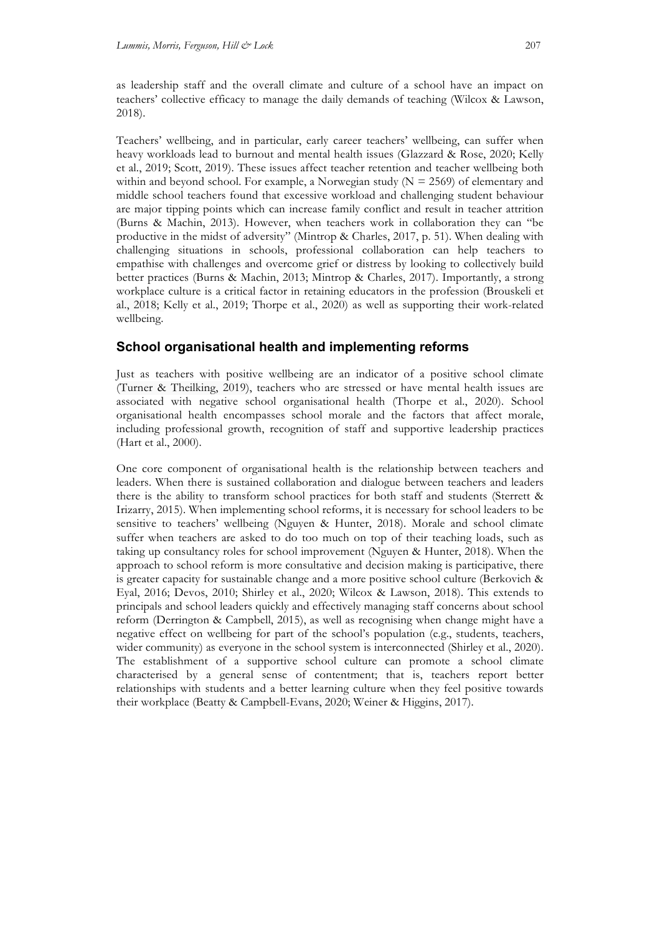as leadership staff and the overall climate and culture of a school have an impact on teachers' collective efficacy to manage the daily demands of teaching (Wilcox & Lawson, 2018).

Teachers' wellbeing, and in particular, early career teachers' wellbeing, can suffer when heavy workloads lead to burnout and mental health issues (Glazzard & Rose, 2020; Kelly et al., 2019; Scott, 2019). These issues affect teacher retention and teacher wellbeing both within and beyond school. For example, a Norwegian study  $(N = 2569)$  of elementary and middle school teachers found that excessive workload and challenging student behaviour are major tipping points which can increase family conflict and result in teacher attrition (Burns & Machin, 2013). However, when teachers work in collaboration they can "be productive in the midst of adversity" (Mintrop & Charles, 2017, p. 51). When dealing with challenging situations in schools, professional collaboration can help teachers to empathise with challenges and overcome grief or distress by looking to collectively build better practices (Burns & Machin, 2013; Mintrop & Charles, 2017). Importantly, a strong workplace culture is a critical factor in retaining educators in the profession (Brouskeli et al., 2018; Kelly et al., 2019; Thorpe et al., 2020) as well as supporting their work-related wellbeing.

# **School organisational health and implementing reforms**

Just as teachers with positive wellbeing are an indicator of a positive school climate (Turner & Theilking, 2019), teachers who are stressed or have mental health issues are associated with negative school organisational health (Thorpe et al., 2020). School organisational health encompasses school morale and the factors that affect morale, including professional growth, recognition of staff and supportive leadership practices (Hart et al., 2000).

One core component of organisational health is the relationship between teachers and leaders. When there is sustained collaboration and dialogue between teachers and leaders there is the ability to transform school practices for both staff and students (Sterrett & Irizarry, 2015). When implementing school reforms, it is necessary for school leaders to be sensitive to teachers' wellbeing (Nguyen & Hunter, 2018). Morale and school climate suffer when teachers are asked to do too much on top of their teaching loads, such as taking up consultancy roles for school improvement (Nguyen & Hunter, 2018). When the approach to school reform is more consultative and decision making is participative, there is greater capacity for sustainable change and a more positive school culture (Berkovich & Eyal, 2016; Devos, 2010; Shirley et al., 2020; Wilcox & Lawson, 2018). This extends to principals and school leaders quickly and effectively managing staff concerns about school reform (Derrington & Campbell, 2015), as well as recognising when change might have a negative effect on wellbeing for part of the school's population (e.g., students, teachers, wider community) as everyone in the school system is interconnected (Shirley et al., 2020). The establishment of a supportive school culture can promote a school climate characterised by a general sense of contentment; that is, teachers report better relationships with students and a better learning culture when they feel positive towards their workplace (Beatty & Campbell-Evans, 2020; Weiner & Higgins, 2017).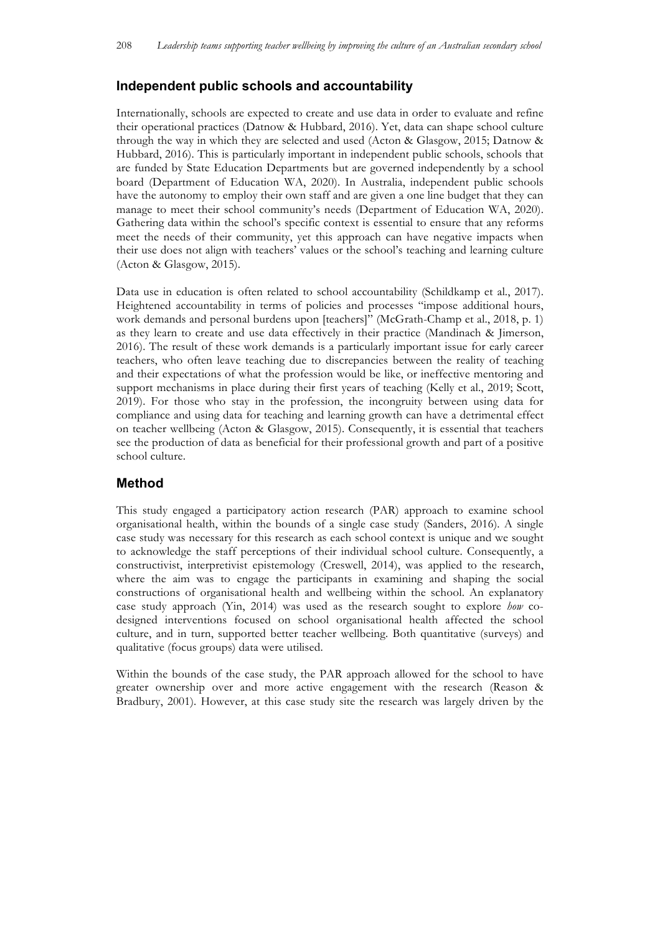# **Independent public schools and accountability**

Internationally, schools are expected to create and use data in order to evaluate and refine their operational practices (Datnow & Hubbard, 2016). Yet, data can shape school culture through the way in which they are selected and used (Acton & Glasgow, 2015; Datnow & Hubbard, 2016). This is particularly important in independent public schools, schools that are funded by State Education Departments but are governed independently by a school board (Department of Education WA, 2020). In Australia, independent public schools have the autonomy to employ their own staff and are given a one line budget that they can manage to meet their school community's needs (Department of Education WA, 2020). Gathering data within the school's specific context is essential to ensure that any reforms meet the needs of their community, yet this approach can have negative impacts when their use does not align with teachers' values or the school's teaching and learning culture (Acton & Glasgow, 2015).

Data use in education is often related to school accountability (Schildkamp et al., 2017). Heightened accountability in terms of policies and processes "impose additional hours, work demands and personal burdens upon [teachers]" (McGrath-Champ et al., 2018, p. 1) as they learn to create and use data effectively in their practice (Mandinach & Jimerson, 2016). The result of these work demands is a particularly important issue for early career teachers, who often leave teaching due to discrepancies between the reality of teaching and their expectations of what the profession would be like, or ineffective mentoring and support mechanisms in place during their first years of teaching (Kelly et al., 2019; Scott, 2019). For those who stay in the profession, the incongruity between using data for compliance and using data for teaching and learning growth can have a detrimental effect on teacher wellbeing (Acton & Glasgow, 2015). Consequently, it is essential that teachers see the production of data as beneficial for their professional growth and part of a positive school culture.

## **Method**

This study engaged a participatory action research (PAR) approach to examine school organisational health, within the bounds of a single case study (Sanders, 2016). A single case study was necessary for this research as each school context is unique and we sought to acknowledge the staff perceptions of their individual school culture. Consequently, a constructivist, interpretivist epistemology (Creswell, 2014), was applied to the research, where the aim was to engage the participants in examining and shaping the social constructions of organisational health and wellbeing within the school. An explanatory case study approach (Yin, 2014) was used as the research sought to explore *how* codesigned interventions focused on school organisational health affected the school culture, and in turn, supported better teacher wellbeing. Both quantitative (surveys) and qualitative (focus groups) data were utilised.

Within the bounds of the case study, the PAR approach allowed for the school to have greater ownership over and more active engagement with the research (Reason & Bradbury, 2001). However, at this case study site the research was largely driven by the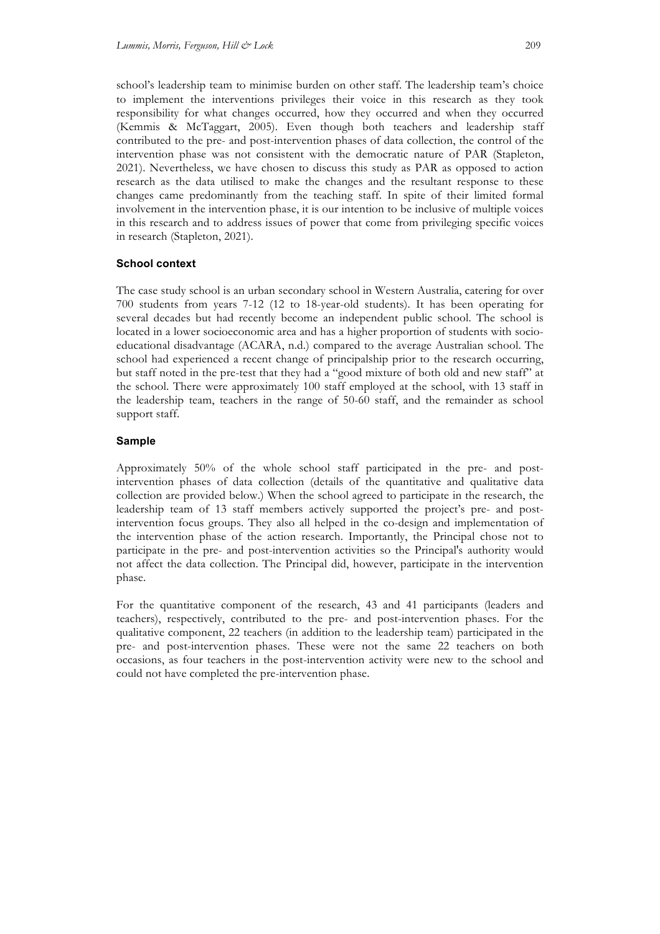school's leadership team to minimise burden on other staff. The leadership team's choice to implement the interventions privileges their voice in this research as they took responsibility for what changes occurred, how they occurred and when they occurred (Kemmis & McTaggart, 2005). Even though both teachers and leadership staff contributed to the pre- and post-intervention phases of data collection, the control of the intervention phase was not consistent with the democratic nature of PAR (Stapleton, 2021). Nevertheless, we have chosen to discuss this study as PAR as opposed to action research as the data utilised to make the changes and the resultant response to these changes came predominantly from the teaching staff. In spite of their limited formal involvement in the intervention phase, it is our intention to be inclusive of multiple voices in this research and to address issues of power that come from privileging specific voices in research (Stapleton, 2021).

## **School context**

The case study school is an urban secondary school in Western Australia, catering for over 700 students from years 7-12 (12 to 18-year-old students). It has been operating for several decades but had recently become an independent public school. The school is located in a lower socioeconomic area and has a higher proportion of students with socioeducational disadvantage (ACARA, n.d.) compared to the average Australian school. The school had experienced a recent change of principalship prior to the research occurring, but staff noted in the pre-test that they had a "good mixture of both old and new staff" at the school. There were approximately 100 staff employed at the school, with 13 staff in the leadership team, teachers in the range of 50-60 staff, and the remainder as school support staff.

## **Sample**

Approximately 50% of the whole school staff participated in the pre- and postintervention phases of data collection (details of the quantitative and qualitative data collection are provided below.) When the school agreed to participate in the research, the leadership team of 13 staff members actively supported the project's pre- and postintervention focus groups. They also all helped in the co-design and implementation of the intervention phase of the action research. Importantly, the Principal chose not to participate in the pre- and post-intervention activities so the Principal's authority would not affect the data collection. The Principal did, however, participate in the intervention phase.

For the quantitative component of the research, 43 and 41 participants (leaders and teachers), respectively, contributed to the pre- and post-intervention phases. For the qualitative component, 22 teachers (in addition to the leadership team) participated in the pre- and post-intervention phases. These were not the same 22 teachers on both occasions, as four teachers in the post-intervention activity were new to the school and could not have completed the pre-intervention phase.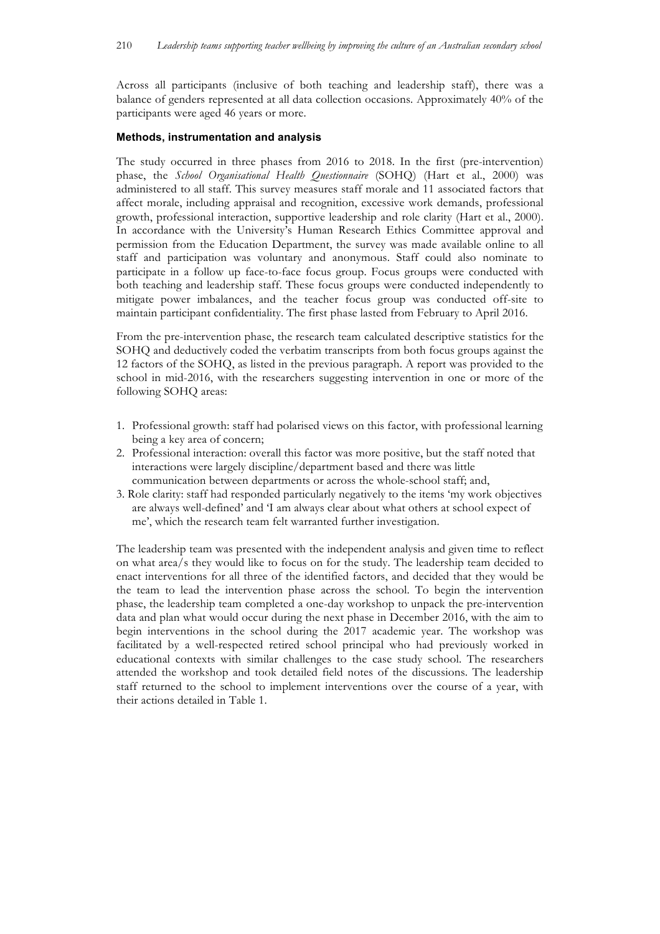Across all participants (inclusive of both teaching and leadership staff), there was a balance of genders represented at all data collection occasions. Approximately 40% of the participants were aged 46 years or more.

#### **Methods, instrumentation and analysis**

The study occurred in three phases from 2016 to 2018. In the first (pre-intervention) phase, the *School Organisational Health Questionnaire* (SOHQ) (Hart et al., 2000) was administered to all staff. This survey measures staff morale and 11 associated factors that affect morale, including appraisal and recognition, excessive work demands, professional growth, professional interaction, supportive leadership and role clarity (Hart et al., 2000). In accordance with the University's Human Research Ethics Committee approval and permission from the Education Department, the survey was made available online to all staff and participation was voluntary and anonymous. Staff could also nominate to participate in a follow up face-to-face focus group. Focus groups were conducted with both teaching and leadership staff. These focus groups were conducted independently to mitigate power imbalances, and the teacher focus group was conducted off-site to maintain participant confidentiality. The first phase lasted from February to April 2016.

From the pre-intervention phase, the research team calculated descriptive statistics for the SOHQ and deductively coded the verbatim transcripts from both focus groups against the 12 factors of the SOHQ, as listed in the previous paragraph. A report was provided to the school in mid-2016, with the researchers suggesting intervention in one or more of the following SOHQ areas:

- 1. Professional growth: staff had polarised views on this factor, with professional learning being a key area of concern;
- 2. Professional interaction: overall this factor was more positive, but the staff noted that interactions were largely discipline/department based and there was little communication between departments or across the whole-school staff; and,
- 3. Role clarity: staff had responded particularly negatively to the items 'my work objectives are always well-defined' and 'I am always clear about what others at school expect of me', which the research team felt warranted further investigation.

The leadership team was presented with the independent analysis and given time to reflect on what area/s they would like to focus on for the study. The leadership team decided to enact interventions for all three of the identified factors, and decided that they would be the team to lead the intervention phase across the school. To begin the intervention phase, the leadership team completed a one-day workshop to unpack the pre-intervention data and plan what would occur during the next phase in December 2016, with the aim to begin interventions in the school during the 2017 academic year. The workshop was facilitated by a well-respected retired school principal who had previously worked in educational contexts with similar challenges to the case study school. The researchers attended the workshop and took detailed field notes of the discussions. The leadership staff returned to the school to implement interventions over the course of a year, with their actions detailed in Table 1.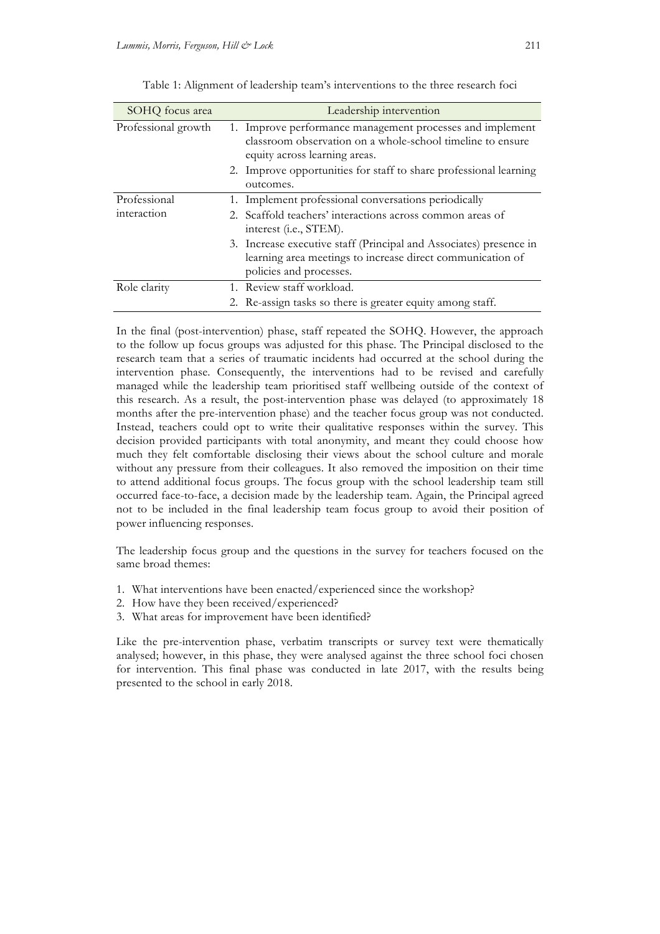| SOHQ focus area     | Leadership intervention                                                                                                                                     |  |  |
|---------------------|-------------------------------------------------------------------------------------------------------------------------------------------------------------|--|--|
| Professional growth | 1. Improve performance management processes and implement<br>classroom observation on a whole-school timeline to ensure<br>equity across learning areas.    |  |  |
|                     | 2. Improve opportunities for staff to share professional learning<br>outcomes.                                                                              |  |  |
| Professional        | 1. Implement professional conversations periodically                                                                                                        |  |  |
| interaction         | 2. Scaffold teachers' interactions across common areas of<br>interest (i.e., STEM).                                                                         |  |  |
|                     | 3. Increase executive staff (Principal and Associates) presence in<br>learning area meetings to increase direct communication of<br>policies and processes. |  |  |
| Role clarity        | 1. Review staff workload.                                                                                                                                   |  |  |
|                     | 2. Re-assign tasks so there is greater equity among staff.                                                                                                  |  |  |

Table 1: Alignment of leadership team's interventions to the three research foci

In the final (post-intervention) phase, staff repeated the SOHQ. However, the approach to the follow up focus groups was adjusted for this phase. The Principal disclosed to the research team that a series of traumatic incidents had occurred at the school during the intervention phase. Consequently, the interventions had to be revised and carefully managed while the leadership team prioritised staff wellbeing outside of the context of this research. As a result, the post-intervention phase was delayed (to approximately 18 months after the pre-intervention phase) and the teacher focus group was not conducted. Instead, teachers could opt to write their qualitative responses within the survey. This decision provided participants with total anonymity, and meant they could choose how much they felt comfortable disclosing their views about the school culture and morale without any pressure from their colleagues. It also removed the imposition on their time to attend additional focus groups. The focus group with the school leadership team still occurred face-to-face, a decision made by the leadership team. Again, the Principal agreed not to be included in the final leadership team focus group to avoid their position of power influencing responses.

The leadership focus group and the questions in the survey for teachers focused on the same broad themes:

- 1. What interventions have been enacted/experienced since the workshop?
- 2. How have they been received/experienced?
- 3. What areas for improvement have been identified?

Like the pre-intervention phase, verbatim transcripts or survey text were thematically analysed; however, in this phase, they were analysed against the three school foci chosen for intervention. This final phase was conducted in late 2017, with the results being presented to the school in early 2018.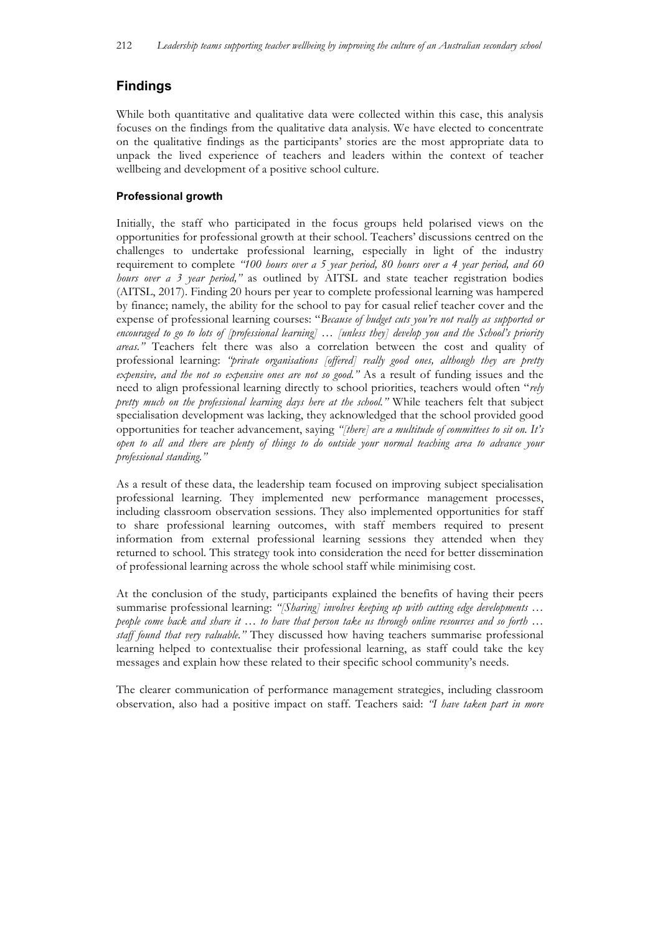# **Findings**

While both quantitative and qualitative data were collected within this case, this analysis focuses on the findings from the qualitative data analysis. We have elected to concentrate on the qualitative findings as the participants' stories are the most appropriate data to unpack the lived experience of teachers and leaders within the context of teacher wellbeing and development of a positive school culture.

## **Professional growth**

Initially, the staff who participated in the focus groups held polarised views on the opportunities for professional growth at their school. Teachers' discussions centred on the challenges to undertake professional learning, especially in light of the industry requirement to complete *"100 hours over a 5 year period, 80 hours over a 4 year period, and 60 hours over a 3 year period,"* as outlined by AITSL and state teacher registration bodies (AITSL, 2017). Finding 20 hours per year to complete professional learning was hampered by finance; namely, the ability for the school to pay for casual relief teacher cover and the expense of professional learning courses: "*Because of budget cuts you're not really as supported or encouraged to go to lots of [professional learning] … [unless they] develop you and the School's priority areas."* Teachers felt there was also a correlation between the cost and quality of professional learning: *"private organisations [offered] really good ones, although they are pretty expensive, and the not so expensive ones are not so good."* As a result of funding issues and the need to align professional learning directly to school priorities, teachers would often "*rely pretty much on the professional learning days here at the school."* While teachers felt that subject specialisation development was lacking, they acknowledged that the school provided good opportunities for teacher advancement, saying *"[there] are a multitude of committees to sit on. It's open to all and there are plenty of things to do outside your normal teaching area to advance your professional standing."*

As a result of these data, the leadership team focused on improving subject specialisation professional learning. They implemented new performance management processes, including classroom observation sessions. They also implemented opportunities for staff to share professional learning outcomes, with staff members required to present information from external professional learning sessions they attended when they returned to school. This strategy took into consideration the need for better dissemination of professional learning across the whole school staff while minimising cost.

At the conclusion of the study, participants explained the benefits of having their peers summarise professional learning: "[Sharing] involves keeping up with cutting edge developments ... *people come back and share it … to have that person take us through online resources and so forth … staff found that very valuable."* They discussed how having teachers summarise professional learning helped to contextualise their professional learning, as staff could take the key messages and explain how these related to their specific school community's needs.

The clearer communication of performance management strategies, including classroom observation, also had a positive impact on staff. Teachers said: *"I have taken part in more*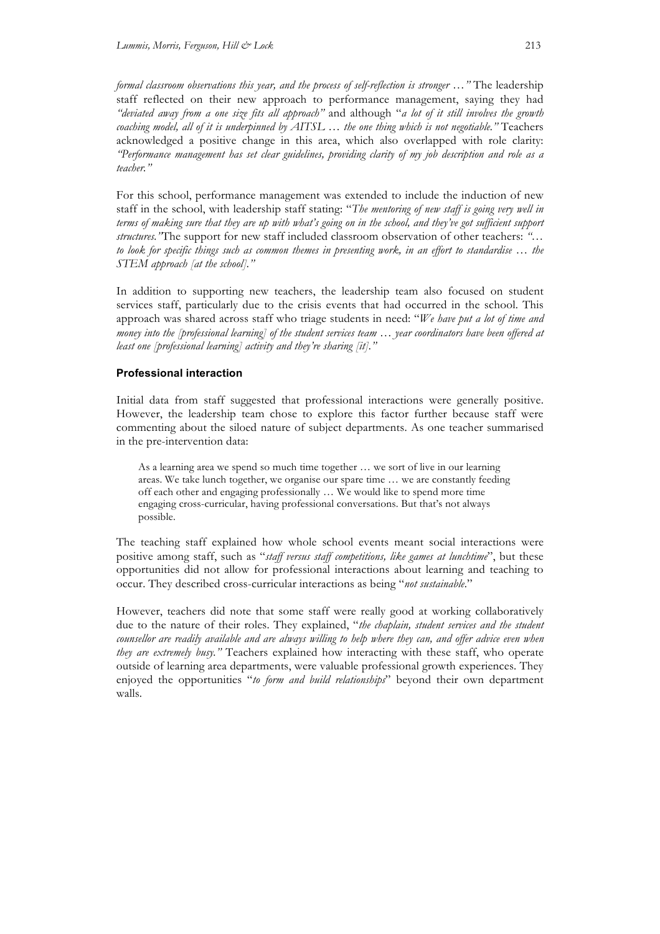*formal classroom observations this year, and the process of self-reflection is stronger …"* The leadership staff reflected on their new approach to performance management, saying they had *"deviated away from a one size fits all approach"* and although "*a lot of it still involves the growth coaching model, all of it is underpinned by AITSL … the one thing which is not negotiable."* Teachers acknowledged a positive change in this area, which also overlapped with role clarity: *"Performance management has set clear guidelines, providing clarity of my job description and role as a teacher."*

For this school, performance management was extended to include the induction of new staff in the school, with leadership staff stating: "*The mentoring of new staff is going very well in terms of making sure that they are up with what's going on in the school, and they've got sufficient support structures."*The support for new staff included classroom observation of other teachers: *"… to look for specific things such as common themes in presenting work, in an effort to standardise … the STEM approach [at the school]."*

In addition to supporting new teachers, the leadership team also focused on student services staff, particularly due to the crisis events that had occurred in the school. This approach was shared across staff who triage students in need: "*We have put a lot of time and money into the [professional learning] of the student services team … year coordinators have been offered at least one [professional learning] activity and they're sharing [it]."*

## **Professional interaction**

Initial data from staff suggested that professional interactions were generally positive. However, the leadership team chose to explore this factor further because staff were commenting about the siloed nature of subject departments. As one teacher summarised in the pre-intervention data:

As a learning area we spend so much time together … we sort of live in our learning areas. We take lunch together, we organise our spare time … we are constantly feeding off each other and engaging professionally … We would like to spend more time engaging cross-curricular, having professional conversations. But that's not always possible.

The teaching staff explained how whole school events meant social interactions were positive among staff, such as "*staff versus staff competitions, like games at lunchtime*", but these opportunities did not allow for professional interactions about learning and teaching to occur. They described cross-curricular interactions as being "*not sustainable*."

However, teachers did note that some staff were really good at working collaboratively due to the nature of their roles. They explained, "*the chaplain, student services and the student counsellor are readily available and are always willing to help where they can, and offer advice even when they are extremely busy."* Teachers explained how interacting with these staff, who operate outside of learning area departments, were valuable professional growth experiences. They enjoyed the opportunities "*to form and build relationships*" beyond their own department walls.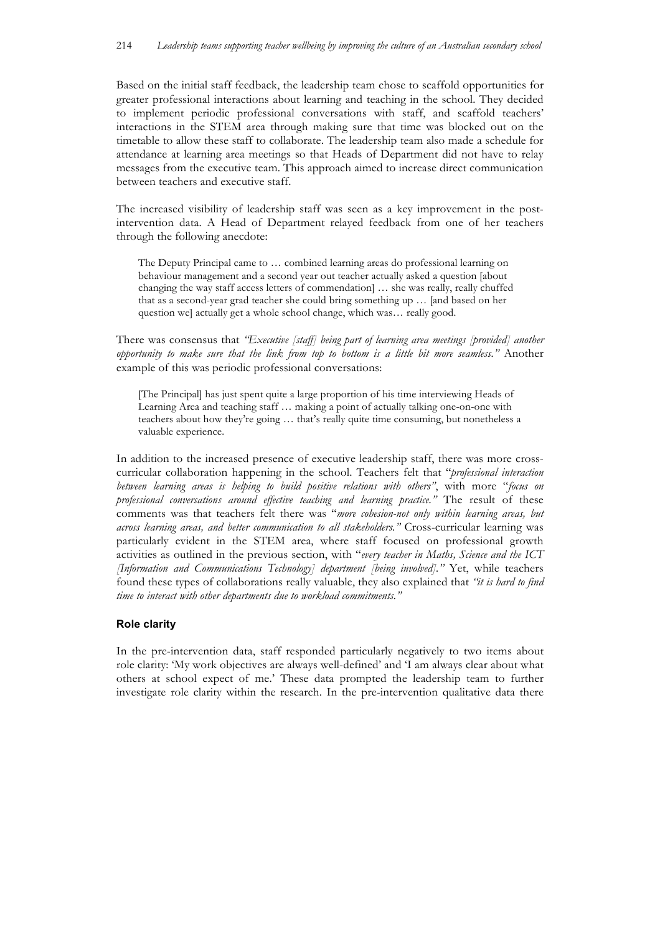Based on the initial staff feedback, the leadership team chose to scaffold opportunities for greater professional interactions about learning and teaching in the school. They decided to implement periodic professional conversations with staff, and scaffold teachers' interactions in the STEM area through making sure that time was blocked out on the timetable to allow these staff to collaborate. The leadership team also made a schedule for attendance at learning area meetings so that Heads of Department did not have to relay messages from the executive team. This approach aimed to increase direct communication between teachers and executive staff.

The increased visibility of leadership staff was seen as a key improvement in the postintervention data. A Head of Department relayed feedback from one of her teachers through the following anecdote:

The Deputy Principal came to … combined learning areas do professional learning on behaviour management and a second year out teacher actually asked a question [about changing the way staff access letters of commendation] … she was really, really chuffed that as a second-year grad teacher she could bring something up … [and based on her question we] actually get a whole school change, which was... really good.

There was consensus that *"Executive [staff] being part of learning area meetings [provided] another opportunity to make sure that the link from top to bottom is a little bit more seamless."* Another example of this was periodic professional conversations:

[The Principal] has just spent quite a large proportion of his time interviewing Heads of Learning Area and teaching staff … making a point of actually talking one-on-one with teachers about how they're going … that's really quite time consuming, but nonetheless a valuable experience.

In addition to the increased presence of executive leadership staff, there was more crosscurricular collaboration happening in the school. Teachers felt that "*professional interaction between learning areas is helping to build positive relations with others"*, with more "*focus on professional conversations around effective teaching and learning practice."* The result of these comments was that teachers felt there was "*more cohesion-not only within learning areas, but across learning areas, and better communication to all stakeholders."* Cross-curricular learning was particularly evident in the STEM area, where staff focused on professional growth activities as outlined in the previous section, with "*every teacher in Maths, Science and the ICT [Information and Communications Technology] department [being involved]."* Yet, while teachers found these types of collaborations really valuable, they also explained that *"it is hard to find time to interact with other departments due to workload commitments."*

## **Role clarity**

In the pre-intervention data, staff responded particularly negatively to two items about role clarity: 'My work objectives are always well-defined' and 'I am always clear about what others at school expect of me.' These data prompted the leadership team to further investigate role clarity within the research. In the pre-intervention qualitative data there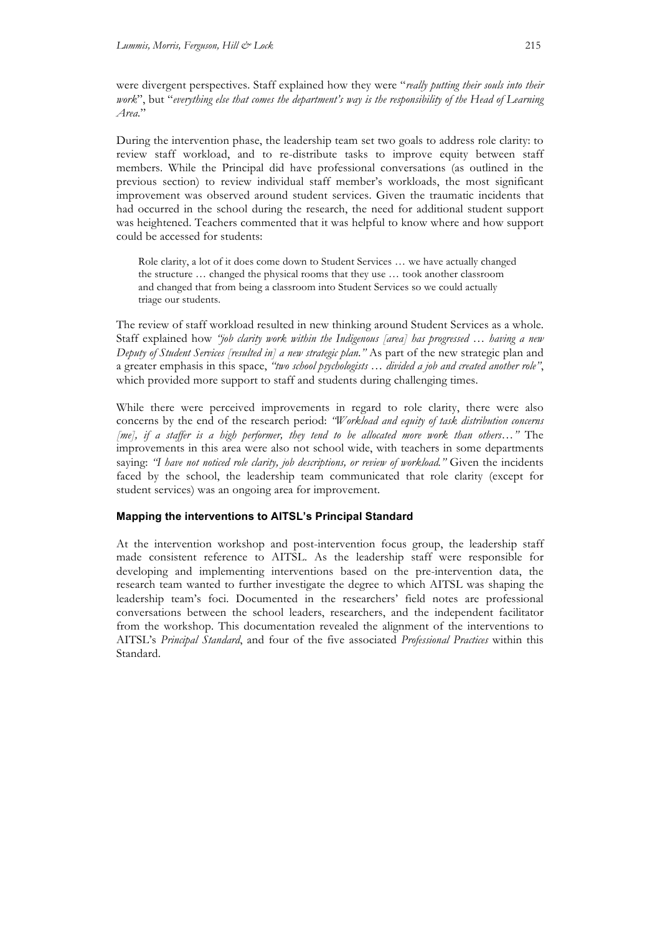were divergent perspectives. Staff explained how they were "*really putting their souls into their work*", but "*everything else that comes the department's way is the responsibility of the Head of Learning Area.*"

During the intervention phase, the leadership team set two goals to address role clarity: to review staff workload, and to re-distribute tasks to improve equity between staff members. While the Principal did have professional conversations (as outlined in the previous section) to review individual staff member's workloads, the most significant improvement was observed around student services. Given the traumatic incidents that had occurred in the school during the research, the need for additional student support was heightened. Teachers commented that it was helpful to know where and how support could be accessed for students:

Role clarity, a lot of it does come down to Student Services … we have actually changed the structure … changed the physical rooms that they use … took another classroom and changed that from being a classroom into Student Services so we could actually triage our students.

The review of staff workload resulted in new thinking around Student Services as a whole. Staff explained how *"job clarity work within the Indigenous [area] has progressed … having a new Deputy of Student Services [resulted in] a new strategic plan."* As part of the new strategic plan and a greater emphasis in this space, *"two school psychologists … divided a job and created another role"*, which provided more support to staff and students during challenging times.

While there were perceived improvements in regard to role clarity, there were also concerns by the end of the research period: *"Workload and equity of task distribution concerns [me], if a staffer is a high performer, they tend to be allocated more work than others…"* The improvements in this area were also not school wide, with teachers in some departments saying: *"I have not noticed role clarity, job descriptions, or review of workload."* Given the incidents faced by the school, the leadership team communicated that role clarity (except for student services) was an ongoing area for improvement.

#### **Mapping the interventions to AITSL's Principal Standard**

At the intervention workshop and post-intervention focus group, the leadership staff made consistent reference to AITSL. As the leadership staff were responsible for developing and implementing interventions based on the pre-intervention data, the research team wanted to further investigate the degree to which AITSL was shaping the leadership team's foci. Documented in the researchers' field notes are professional conversations between the school leaders, researchers, and the independent facilitator from the workshop. This documentation revealed the alignment of the interventions to AITSL's *Principal Standard*, and four of the five associated *Professional Practices* within this Standard.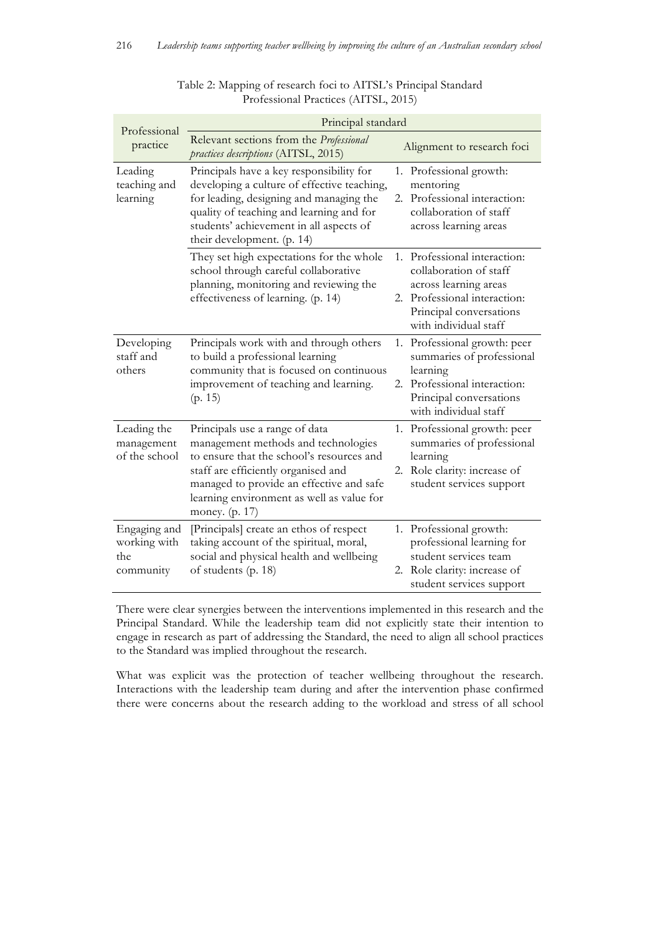|                                                  | Principal standard                                                                                                                                                                                                                                                   |    |                                                                                                                                                                  |  |
|--------------------------------------------------|----------------------------------------------------------------------------------------------------------------------------------------------------------------------------------------------------------------------------------------------------------------------|----|------------------------------------------------------------------------------------------------------------------------------------------------------------------|--|
| Professional<br>practice                         | Relevant sections from the Professional<br>practices descriptions (AITSL, 2015)                                                                                                                                                                                      |    | Alignment to research foci                                                                                                                                       |  |
| Leading<br>teaching and<br>learning              | Principals have a key responsibility for<br>developing a culture of effective teaching,<br>for leading, designing and managing the<br>quality of teaching and learning and for<br>students' achievement in all aspects of<br>their development. (p. 14)              | 2. | 1. Professional growth:<br>mentoring<br>Professional interaction:<br>collaboration of staff<br>across learning areas                                             |  |
|                                                  | They set high expectations for the whole<br>school through careful collaborative<br>planning, monitoring and reviewing the<br>effectiveness of learning. (p. 14)                                                                                                     | 2. | 1. Professional interaction:<br>collaboration of staff<br>across learning areas<br>Professional interaction:<br>Principal conversations<br>with individual staff |  |
| Developing<br>staff and<br>others                | Principals work with and through others<br>to build a professional learning<br>community that is focused on continuous<br>improvement of teaching and learning.<br>(p. 15)                                                                                           |    | 1. Professional growth: peer<br>summaries of professional<br>learning<br>2. Professional interaction:<br>Principal conversations<br>with individual staff        |  |
| Leading the<br>management<br>of the school       | Principals use a range of data<br>management methods and technologies<br>to ensure that the school's resources and<br>staff are efficiently organised and<br>managed to provide an effective and safe<br>learning environment as well as value for<br>money. (p. 17) | 2. | 1. Professional growth: peer<br>summaries of professional<br>learning<br>Role clarity: increase of<br>student services support                                   |  |
| Engaging and<br>working with<br>the<br>community | [Principals] create an ethos of respect<br>taking account of the spiritual, moral,<br>social and physical health and wellbeing<br>of students (p. 18)                                                                                                                | 2. | 1. Professional growth:<br>professional learning for<br>student services team<br>Role clarity: increase of<br>student services support                           |  |

Table 2: Mapping of research foci to AITSL's Principal Standard Professional Practices (AITSL, 2015)

There were clear synergies between the interventions implemented in this research and the Principal Standard. While the leadership team did not explicitly state their intention to engage in research as part of addressing the Standard, the need to align all school practices to the Standard was implied throughout the research.

What was explicit was the protection of teacher wellbeing throughout the research. Interactions with the leadership team during and after the intervention phase confirmed there were concerns about the research adding to the workload and stress of all school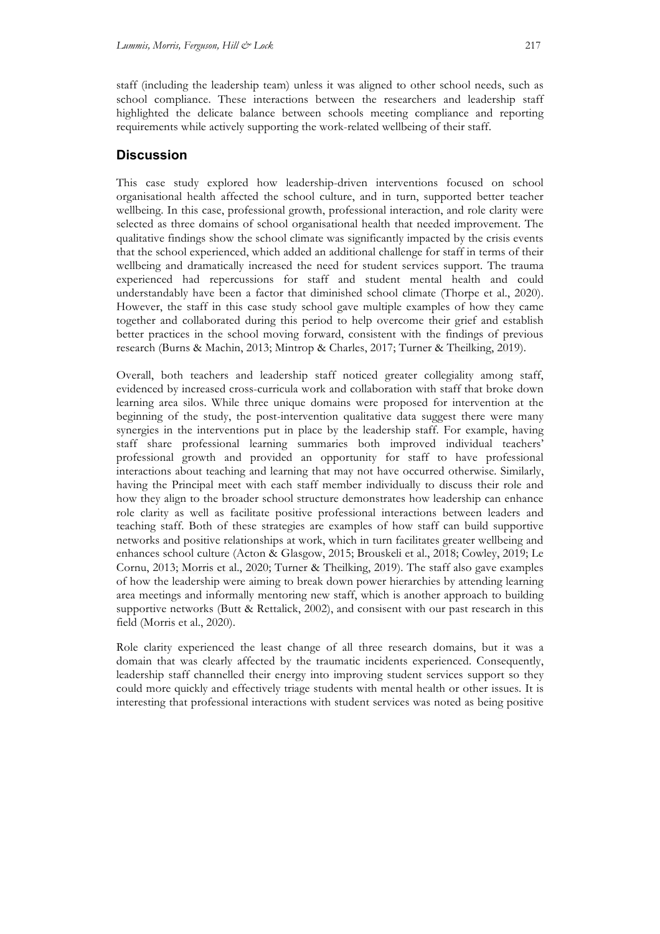staff (including the leadership team) unless it was aligned to other school needs, such as school compliance. These interactions between the researchers and leadership staff highlighted the delicate balance between schools meeting compliance and reporting requirements while actively supporting the work-related wellbeing of their staff.

## **Discussion**

This case study explored how leadership-driven interventions focused on school organisational health affected the school culture, and in turn, supported better teacher wellbeing. In this case, professional growth, professional interaction, and role clarity were selected as three domains of school organisational health that needed improvement. The qualitative findings show the school climate was significantly impacted by the crisis events that the school experienced, which added an additional challenge for staff in terms of their wellbeing and dramatically increased the need for student services support. The trauma experienced had repercussions for staff and student mental health and could understandably have been a factor that diminished school climate (Thorpe et al., 2020). However, the staff in this case study school gave multiple examples of how they came together and collaborated during this period to help overcome their grief and establish better practices in the school moving forward, consistent with the findings of previous research (Burns & Machin, 2013; Mintrop & Charles, 2017; Turner & Theilking, 2019).

Overall, both teachers and leadership staff noticed greater collegiality among staff, evidenced by increased cross-curricula work and collaboration with staff that broke down learning area silos. While three unique domains were proposed for intervention at the beginning of the study, the post-intervention qualitative data suggest there were many synergies in the interventions put in place by the leadership staff. For example, having staff share professional learning summaries both improved individual teachers' professional growth and provided an opportunity for staff to have professional interactions about teaching and learning that may not have occurred otherwise. Similarly, having the Principal meet with each staff member individually to discuss their role and how they align to the broader school structure demonstrates how leadership can enhance role clarity as well as facilitate positive professional interactions between leaders and teaching staff. Both of these strategies are examples of how staff can build supportive networks and positive relationships at work, which in turn facilitates greater wellbeing and enhances school culture (Acton & Glasgow, 2015; Brouskeli et al., 2018; Cowley, 2019; Le Cornu, 2013; Morris et al., 2020; Turner & Theilking, 2019). The staff also gave examples of how the leadership were aiming to break down power hierarchies by attending learning area meetings and informally mentoring new staff, which is another approach to building supportive networks (Butt & Rettalick, 2002), and consisent with our past research in this field (Morris et al., 2020).

Role clarity experienced the least change of all three research domains, but it was a domain that was clearly affected by the traumatic incidents experienced. Consequently, leadership staff channelled their energy into improving student services support so they could more quickly and effectively triage students with mental health or other issues. It is interesting that professional interactions with student services was noted as being positive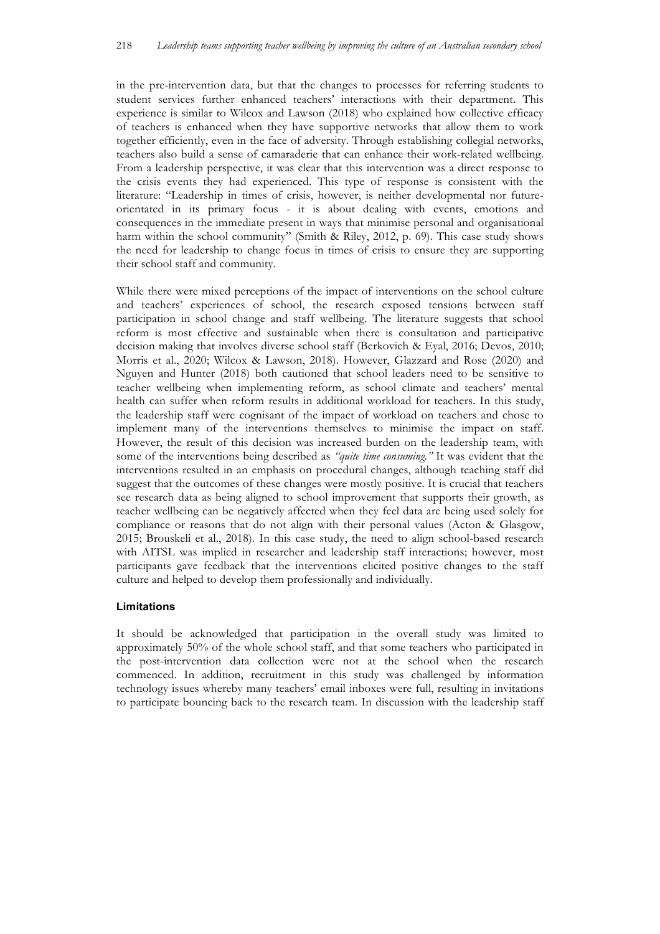in the pre-intervention data, but that the changes to processes for referring students to student services further enhanced teachers' interactions with their department. This experience is similar to Wilcox and Lawson (2018) who explained how collective efficacy of teachers is enhanced when they have supportive networks that allow them to work together efficiently, even in the face of adversity. Through establishing collegial networks, teachers also build a sense of camaraderie that can enhance their work-related wellbeing. From a leadership perspective, it was clear that this intervention was a direct response to the crisis events they had experienced. This type of response is consistent with the literature: "Leadership in times of crisis, however, is neither developmental nor futureorientated in its primary focus - it is about dealing with events, emotions and consequences in the immediate present in ways that minimise personal and organisational harm within the school community" (Smith & Riley, 2012, p. 69). This case study shows the need for leadership to change focus in times of crisis to ensure they are supporting their school staff and community.

While there were mixed perceptions of the impact of interventions on the school culture and teachers' experiences of school, the research exposed tensions between staff participation in school change and staff wellbeing. The literature suggests that school reform is most effective and sustainable when there is consultation and participative decision making that involves diverse school staff (Berkovich & Eyal, 2016; Devos, 2010; Morris et al., 2020; Wilcox & Lawson, 2018). However, Glazzard and Rose (2020) and Nguyen and Hunter (2018) both cautioned that school leaders need to be sensitive to teacher wellbeing when implementing reform, as school climate and teachers' mental health can suffer when reform results in additional workload for teachers. In this study, the leadership staff were cognisant of the impact of workload on teachers and chose to implement many of the interventions themselves to minimise the impact on staff. However, the result of this decision was increased burden on the leadership team, with some of the interventions being described as *"quite time consuming."* It was evident that the interventions resulted in an emphasis on procedural changes, although teaching staff did suggest that the outcomes of these changes were mostly positive. It is crucial that teachers see research data as being aligned to school improvement that supports their growth, as teacher wellbeing can be negatively affected when they feel data are being used solely for compliance or reasons that do not align with their personal values (Acton & Glasgow, 2015; Brouskeli et al., 2018). In this case study, the need to align school-based research with AITSL was implied in researcher and leadership staff interactions; however, most participants gave feedback that the interventions elicited positive changes to the staff culture and helped to develop them professionally and individually.

#### **Limitations**

It should be acknowledged that participation in the overall study was limited to approximately 50% of the whole school staff, and that some teachers who participated in the post-intervention data collection were not at the school when the research commenced. In addition, recruitment in this study was challenged by information technology issues whereby many teachers' email inboxes were full, resulting in invitations to participate bouncing back to the research team. In discussion with the leadership staff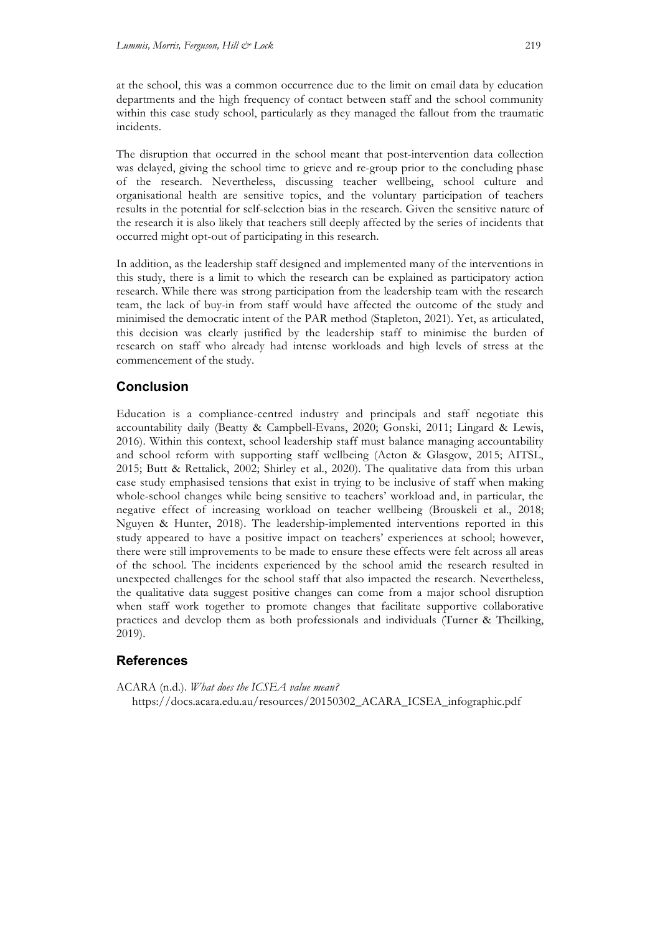at the school, this was a common occurrence due to the limit on email data by education departments and the high frequency of contact between staff and the school community within this case study school, particularly as they managed the fallout from the traumatic incidents.

The disruption that occurred in the school meant that post-intervention data collection was delayed, giving the school time to grieve and re-group prior to the concluding phase of the research. Nevertheless, discussing teacher wellbeing, school culture and organisational health are sensitive topics, and the voluntary participation of teachers results in the potential for self-selection bias in the research. Given the sensitive nature of the research it is also likely that teachers still deeply affected by the series of incidents that occurred might opt-out of participating in this research.

In addition, as the leadership staff designed and implemented many of the interventions in this study, there is a limit to which the research can be explained as participatory action research. While there was strong participation from the leadership team with the research team, the lack of buy-in from staff would have affected the outcome of the study and minimised the democratic intent of the PAR method (Stapleton, 2021). Yet, as articulated, this decision was clearly justified by the leadership staff to minimise the burden of research on staff who already had intense workloads and high levels of stress at the commencement of the study.

# **Conclusion**

Education is a compliance-centred industry and principals and staff negotiate this accountability daily (Beatty & Campbell-Evans, 2020; Gonski, 2011; Lingard & Lewis, 2016). Within this context, school leadership staff must balance managing accountability and school reform with supporting staff wellbeing (Acton & Glasgow, 2015; AITSL, 2015; Butt & Rettalick, 2002; Shirley et al., 2020). The qualitative data from this urban case study emphasised tensions that exist in trying to be inclusive of staff when making whole-school changes while being sensitive to teachers' workload and, in particular, the negative effect of increasing workload on teacher wellbeing (Brouskeli et al., 2018; Nguyen & Hunter, 2018). The leadership-implemented interventions reported in this study appeared to have a positive impact on teachers' experiences at school; however, there were still improvements to be made to ensure these effects were felt across all areas of the school. The incidents experienced by the school amid the research resulted in unexpected challenges for the school staff that also impacted the research. Nevertheless, the qualitative data suggest positive changes can come from a major school disruption when staff work together to promote changes that facilitate supportive collaborative practices and develop them as both professionals and individuals (Turner & Theilking, 2019).

# **References**

ACARA (n.d.). *What does the ICSEA value mean?*  https://docs.acara.edu.au/resources/20150302\_ACARA\_ICSEA\_infographic.pdf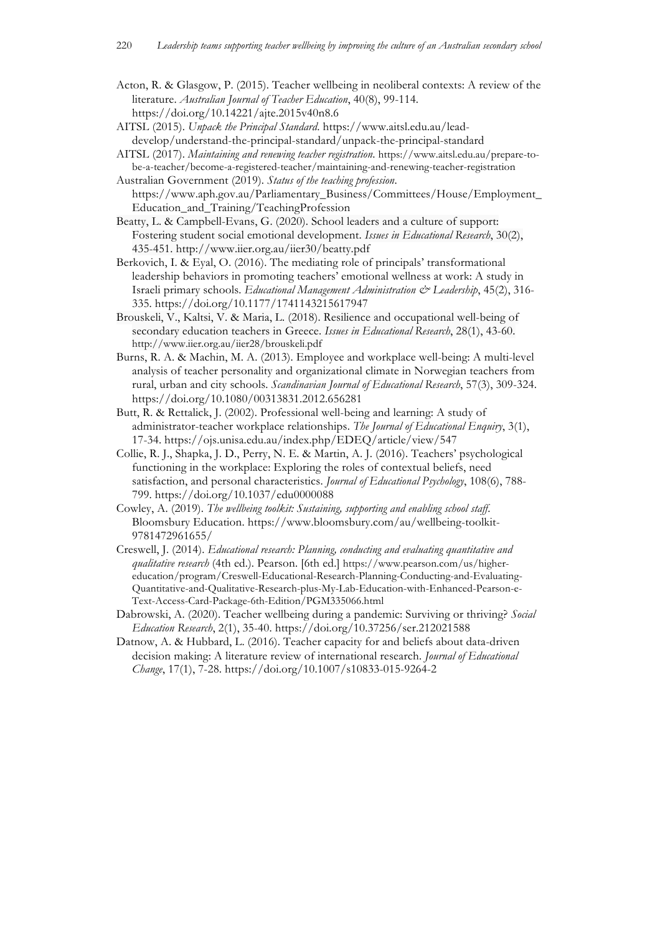- Acton, R. & Glasgow, P. (2015). Teacher wellbeing in neoliberal contexts: A review of the literature. *Australian Journal of Teacher Education*, 40(8), 99-114. https://doi.org/10.14221/ajte.2015v40n8.6
- AITSL (2015). *Unpack the Principal Standard*. https://www.aitsl.edu.au/leaddevelop/understand-the-principal-standard/unpack-the-principal-standard
- AITSL (2017). *Maintaining and renewing teacher registration*. https://www.aitsl.edu.au/prepare-tobe-a-teacher/become-a-registered-teacher/maintaining-and-renewing-teacher-registration Australian Government (2019). *Status of the teaching profession*.
- https://www.aph.gov.au/Parliamentary\_Business/Committees/House/Employment\_ Education\_and\_Training/TeachingProfession
- Beatty, L. & Campbell-Evans, G. (2020). School leaders and a culture of support: Fostering student social emotional development. *Issues in Educational Research*, 30(2), 435-451. http://www.iier.org.au/iier30/beatty.pdf
- Berkovich, I. & Eyal, O. (2016). The mediating role of principals' transformational leadership behaviors in promoting teachers' emotional wellness at work: A study in Israeli primary schools. *Educational Management Administration & Leadership*, 45(2), 316- 335. https://doi.org/10.1177/1741143215617947
- Brouskeli, V., Kaltsi, V. & Maria, L. (2018). Resilience and occupational well-being of secondary education teachers in Greece. *Issues in Educational Research*, 28(1), 43-60. http://www.iier.org.au/iier28/brouskeli.pdf
- Burns, R. A. & Machin, M. A. (2013). Employee and workplace well-being: A multi-level analysis of teacher personality and organizational climate in Norwegian teachers from rural, urban and city schools. *Scandinavian Journal of Educational Research*, 57(3), 309-324. https://doi.org/10.1080/00313831.2012.656281
- Butt, R. & Rettalick, J. (2002). Professional well-being and learning: A study of administrator-teacher workplace relationships. *The Journal of Educational Enquiry*, 3(1), 17-34. https://ojs.unisa.edu.au/index.php/EDEQ/article/view/547
- Collie, R. J., Shapka, J. D., Perry, N. E. & Martin, A. J. (2016). Teachers' psychological functioning in the workplace: Exploring the roles of contextual beliefs, need satisfaction, and personal characteristics. *Journal of Educational Psychology*, 108(6), 788- 799. https://doi.org/10.1037/edu0000088
- Cowley, A. (2019). *The wellbeing toolkit: Sustaining, supporting and enabling school staff*. Bloomsbury Education. https://www.bloomsbury.com/au/wellbeing-toolkit-9781472961655/
- Creswell, J. (2014). *Educational research: Planning, conducting and evaluating quantitative and qualitative research* (4th ed.). Pearson. [6th ed.] https://www.pearson.com/us/highereducation/program/Creswell-Educational-Research-Planning-Conducting-and-Evaluating-Quantitative-and-Qualitative-Research-plus-My-Lab-Education-with-Enhanced-Pearson-e-Text-Access-Card-Package-6th-Edition/PGM335066.html
- Dabrowski, A. (2020). Teacher wellbeing during a pandemic: Surviving or thriving? *Social Education Research*, 2(1), 35-40. https://doi.org/10.37256/ser.212021588
- Datnow, A. & Hubbard, L. (2016). Teacher capacity for and beliefs about data-driven decision making: A literature review of international research. *Journal of Educational Change*, 17(1), 7-28. https://doi.org/10.1007/s10833-015-9264-2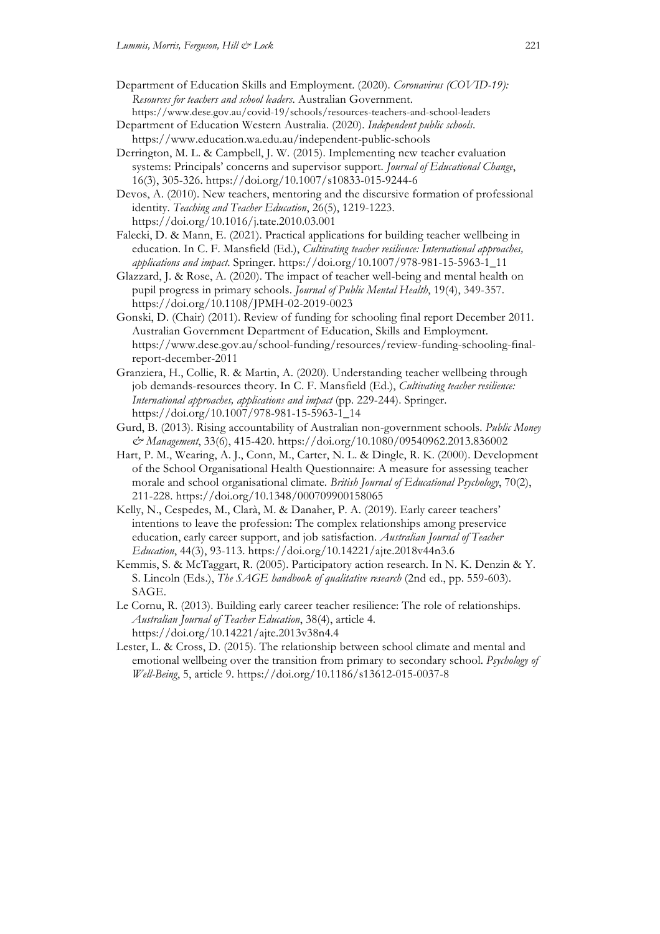- Department of Education Skills and Employment. (2020). *Coronavirus (COVID-19): Resources for teachers and school leaders*. Australian Government. https://www.dese.gov.au/covid-19/schools/resources-teachers-and-school-leaders
- Department of Education Western Australia. (2020). *Independent public schools*. https://www.education.wa.edu.au/independent-public-schools
- Derrington, M. L. & Campbell, J. W. (2015). Implementing new teacher evaluation systems: Principals' concerns and supervisor support. *Journal of Educational Change*, 16(3), 305-326. https://doi.org/10.1007/s10833-015-9244-6

Devos, A. (2010). New teachers, mentoring and the discursive formation of professional identity. *Teaching and Teacher Education*, 26(5), 1219-1223. https://doi.org/10.1016/j.tate.2010.03.001

- Falecki, D. & Mann, E. (2021). Practical applications for building teacher wellbeing in education. In C. F. Mansfield (Ed.), *Cultivating teacher resilience: International approaches, applications and impact*. Springer. https://doi.org/10.1007/978-981-15-5963-1\_11
- Glazzard, J. & Rose, A. (2020). The impact of teacher well-being and mental health on pupil progress in primary schools. *Journal of Public Mental Health*, 19(4), 349-357. https://doi.org/10.1108/JPMH-02-2019-0023
- Gonski, D. (Chair) (2011). Review of funding for schooling final report December 2011. Australian Government Department of Education, Skills and Employment. https://www.dese.gov.au/school-funding/resources/review-funding-schooling-finalreport-december-2011
- Granziera, H., Collie, R. & Martin, A. (2020). Understanding teacher wellbeing through job demands-resources theory. In C. F. Mansfield (Ed.), *Cultivating teacher resilience: International approaches, applications and impact* (pp. 229-244). Springer. https://doi.org/10.1007/978-981-15-5963-1\_14
- Gurd, B. (2013). Rising accountability of Australian non-government schools. *Public Money & Management*, 33(6), 415-420. https://doi.org/10.1080/09540962.2013.836002
- Hart, P. M., Wearing, A. J., Conn, M., Carter, N. L. & Dingle, R. K. (2000). Development of the School Organisational Health Questionnaire: A measure for assessing teacher morale and school organisational climate. *British Journal of Educational Psychology*, 70(2), 211-228. https://doi.org/10.1348/000709900158065
- Kelly, N., Cespedes, M., Clarà, M. & Danaher, P. A. (2019). Early career teachers' intentions to leave the profession: The complex relationships among preservice education, early career support, and job satisfaction. *Australian Journal of Teacher Education*, 44(3), 93-113. https://doi.org/10.14221/ajte.2018v44n3.6
- Kemmis, S. & McTaggart, R. (2005). Participatory action research. In N. K. Denzin & Y. S. Lincoln (Eds.), *The SAGE handbook of qualitative research* (2nd ed., pp. 559-603). SAGE.
- Le Cornu, R. (2013). Building early career teacher resilience: The role of relationships. *Australian Journal of Teacher Education*, 38(4), article 4. https://doi.org/10.14221/ajte.2013v38n4.4
- Lester, L. & Cross, D. (2015). The relationship between school climate and mental and emotional wellbeing over the transition from primary to secondary school. *Psychology of Well-Being*, 5, article 9. https://doi.org/10.1186/s13612-015-0037-8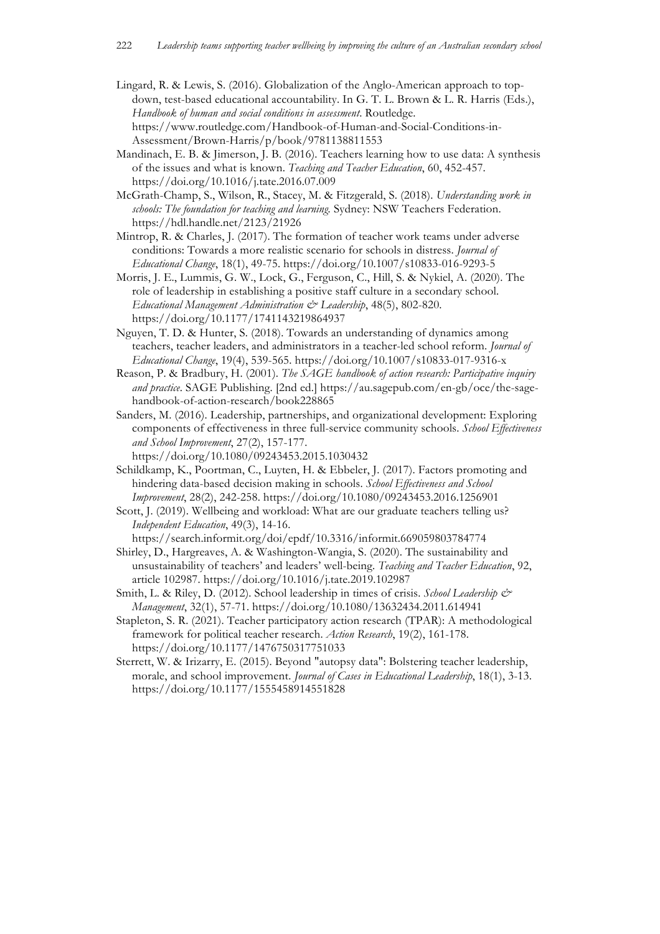- Lingard, R. & Lewis, S. (2016). Globalization of the Anglo-American approach to topdown, test-based educational accountability. In G. T. L. Brown & L. R. Harris (Eds.), *Handbook of human and social conditions in assessment*. Routledge. https://www.routledge.com/Handbook-of-Human-and-Social-Conditions-in-Assessment/Brown-Harris/p/book/9781138811553
- Mandinach, E. B. & Jimerson, J. B. (2016). Teachers learning how to use data: A synthesis of the issues and what is known. *Teaching and Teacher Education*, 60, 452-457. https://doi.org/10.1016/j.tate.2016.07.009
- McGrath-Champ, S., Wilson, R., Stacey, M. & Fitzgerald, S. (2018). *Understanding work in schools: The foundation for teaching and learning.* Sydney: NSW Teachers Federation. https://hdl.handle.net/2123/21926
- Mintrop, R. & Charles, J. (2017). The formation of teacher work teams under adverse conditions: Towards a more realistic scenario for schools in distress. *Journal of Educational Change*, 18(1), 49-75. https://doi.org/10.1007/s10833-016-9293-5
- Morris, J. E., Lummis, G. W., Lock, G., Ferguson, C., Hill, S. & Nykiel, A. (2020). The role of leadership in establishing a positive staff culture in a secondary school. *Educational Management Administration & Leadership*, 48(5), 802-820. https://doi.org/10.1177/1741143219864937
- Nguyen, T. D. & Hunter, S. (2018). Towards an understanding of dynamics among teachers, teacher leaders, and administrators in a teacher-led school reform. *Journal of Educational Change*, 19(4), 539-565. https://doi.org/10.1007/s10833-017-9316-x
- Reason, P. & Bradbury, H. (2001). *The SAGE handbook of action research: Participative inquiry and practice*. SAGE Publishing. [2nd ed.] https://au.sagepub.com/en-gb/oce/the-sagehandbook-of-action-research/book228865
- Sanders, M. (2016). Leadership, partnerships, and organizational development: Exploring components of effectiveness in three full-service community schools. *School Effectiveness and School Improvement*, 27(2), 157-177.

https://doi.org/10.1080/09243453.2015.1030432

- Schildkamp, K., Poortman, C., Luyten, H. & Ebbeler, J. (2017). Factors promoting and hindering data-based decision making in schools. *School Effectiveness and School Improvement*, 28(2), 242-258. https://doi.org/10.1080/09243453.2016.1256901
- Scott, J. (2019). Wellbeing and workload: What are our graduate teachers telling us? *Independent Education*, 49(3), 14-16.

https://search.informit.org/doi/epdf/10.3316/informit.669059803784774

- Shirley, D., Hargreaves, A. & Washington-Wangia, S. (2020). The sustainability and unsustainability of teachers' and leaders' well-being. *Teaching and Teacher Education*, 92, article 102987. https://doi.org/10.1016/j.tate.2019.102987
- Smith, L. & Riley, D. (2012). School leadership in times of crisis. *School Leadership & Management*, 32(1), 57-71. https://doi.org/10.1080/13632434.2011.614941
- Stapleton, S. R. (2021). Teacher participatory action research (TPAR): A methodological framework for political teacher research. *Action Research*, 19(2), 161-178. https://doi.org/10.1177/1476750317751033
- Sterrett, W. & Irizarry, E. (2015). Beyond "autopsy data": Bolstering teacher leadership, morale, and school improvement. *Journal of Cases in Educational Leadership*, 18(1), 3-13. https://doi.org/10.1177/1555458914551828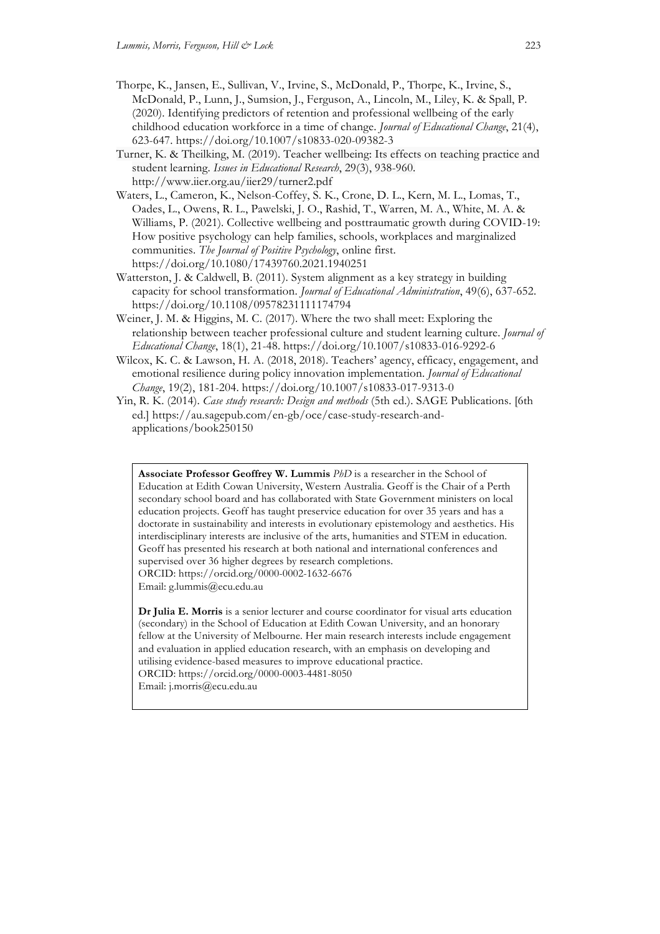- Thorpe, K., Jansen, E., Sullivan, V., Irvine, S., McDonald, P., Thorpe, K., Irvine, S., McDonald, P., Lunn, J., Sumsion, J., Ferguson, A., Lincoln, M., Liley, K. & Spall, P. (2020). Identifying predictors of retention and professional wellbeing of the early childhood education workforce in a time of change. *Journal of Educational Change*, 21(4), 623-647. https://doi.org/10.1007/s10833-020-09382-3
- Turner, K. & Theilking, M. (2019). Teacher wellbeing: Its effects on teaching practice and student learning. *Issues in Educational Research*, 29(3), 938-960. http://www.iier.org.au/iier29/turner2.pdf
- Waters, L., Cameron, K., Nelson-Coffey, S. K., Crone, D. L., Kern, M. L., Lomas, T., Oades, L., Owens, R. L., Pawelski, J. O., Rashid, T., Warren, M. A., White, M. A. & Williams, P. (2021). Collective wellbeing and posttraumatic growth during COVID-19: How positive psychology can help families, schools, workplaces and marginalized communities. *The Journal of Positive Psychology*, online first. https://doi.org/10.1080/17439760.2021.1940251
- Watterston, J. & Caldwell, B. (2011). System alignment as a key strategy in building capacity for school transformation. *Journal of Educational Administration*, 49(6), 637-652. https://doi.org/10.1108/09578231111174794
- Weiner, J. M. & Higgins, M. C. (2017). Where the two shall meet: Exploring the relationship between teacher professional culture and student learning culture. *Journal of Educational Change*, 18(1), 21-48. https://doi.org/10.1007/s10833-016-9292-6
- Wilcox, K. C. & Lawson, H. A. (2018, 2018). Teachers' agency, efficacy, engagement, and emotional resilience during policy innovation implementation. *Journal of Educational Change*, 19(2), 181-204. https://doi.org/10.1007/s10833-017-9313-0
- Yin, R. K. (2014). *Case study research: Design and methods* (5th ed.). SAGE Publications. [6th ed.] https://au.sagepub.com/en-gb/oce/case-study-research-andapplications/book250150

**Associate Professor Geoffrey W. Lummis** *PhD* is a researcher in the School of Education at Edith Cowan University, Western Australia. Geoff is the Chair of a Perth secondary school board and has collaborated with State Government ministers on local education projects. Geoff has taught preservice education for over 35 years and has a doctorate in sustainability and interests in evolutionary epistemology and aesthetics. His interdisciplinary interests are inclusive of the arts, humanities and STEM in education. Geoff has presented his research at both national and international conferences and supervised over 36 higher degrees by research completions. ORCID: https://orcid.org/0000-0002-1632-6676 Email: g.lummis@ecu.edu.au

**Dr Julia E. Morris** is a senior lecturer and course coordinator for visual arts education (secondary) in the School of Education at Edith Cowan University, and an honorary fellow at the University of Melbourne. Her main research interests include engagement and evaluation in applied education research, with an emphasis on developing and utilising evidence-based measures to improve educational practice. ORCID: https://orcid.org/0000-0003-4481-8050 Email: j.morris@ecu.edu.au